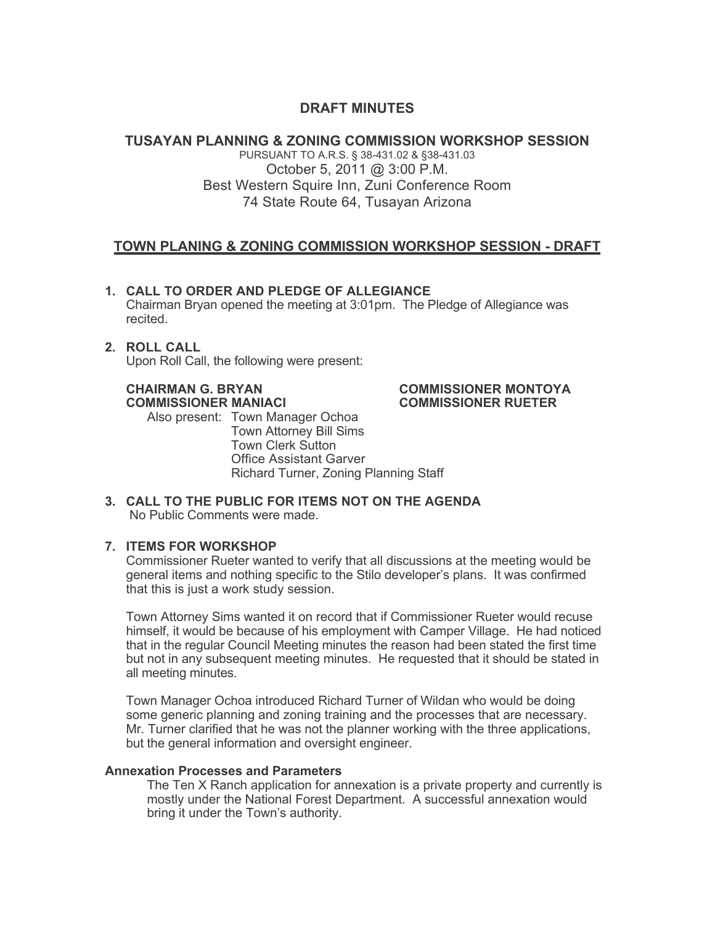### **DRAFT MINUTES**

**TUSAYAN PLANNING & ZONING COMMISSION WORKSHOP SESSION** PURSUANT TO A.R.S. § 38-431.02 & §38-431.03 October 5, 2011 @ 3:00 P.M. Best Western Squire Inn, Zuni Conference Room 74 State Route 64, Tusayan Arizona

#### **TOWN PLANING & ZONING COMMISSION WORKSHOP SESSION - DRAFT**

## **1. CALL TO ORDER AND PLEDGE OF ALLEGIANCE** Chairman Bryan opened the meeting at 3:01pm. The Pledge of Allegiance was recited. **2. ROLL CALL**

Upon Roll Call, the following were present:

#### **CHAIRMAN G. BRYAN COMMISSIONER MONTOYA COMMISSIONER MANIACI COMMISSIONER RUETER**

Also present: Town Manager Ochoa Town Attorney Bill Sims Town Clerk Sutton Office Assistant Garver

Richard Turner, Zoning Planning Staff **3. CALL TO THE PUBLIC FOR ITEMS NOT ON THE AGENDA** 

# No Public Comments were made.

#### **7. ITEMS FOR WORKSHOP**

Commissioner Rueter wanted to verify that all discussions at the meeting would be general items and nothing specific to the Stilo developer's plans. It was confirmed that this is just a work study session.

Town Attorney Sims wanted it on record that if Commissioner Rueter would recuse himself, it would be because of his employment with Camper Village. He had noticed that in the regular Council Meeting minutes the reason had been stated the first time but not in any subsequent meeting minutes. He requested that it should be stated in all meeting minutes.

Town Manager Ochoa introduced Richard Turner of Wildan who would be doing some generic planning and zoning training and the processes that are necessary. Mr. Turner clarified that he was not the planner working with the three applications, but the general information and oversight engineer.

#### **Annexation Processes and Parameters**

The Ten X Ranch application for annexation is a private property and currently is mostly under the National Forest Department. A successful annexation would bring it under the Town's authority.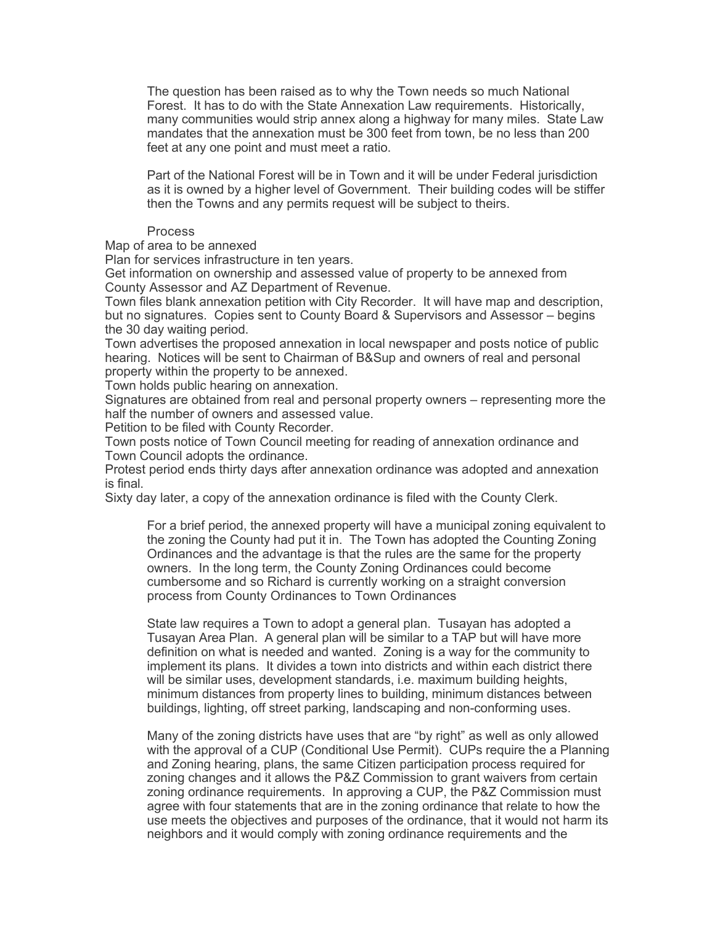The question has been raised as to why the Town needs so much National Forest. It has to do with the State Annexation Law requirements. Historically, many communities would strip annex along a highway for many miles. State Law mandates that the annexation must be 300 feet from town, be no less than 200 feet at any one point and must meet a ratio.

Part of the National Forest will be in Town and it will be under Federal jurisdiction as it is owned by a higher level of Government. Their building codes will be stiffer then the Towns and any permits request will be subject to theirs.

#### Process

Map of area to be annexed

Plan for services infrastructure in ten years.

Get information on ownership and assessed value of property to be annexed from County Assessor and AZ Department of Revenue.

Town files blank annexation petition with City Recorder. It will have map and description, but no signatures. Copies sent to County Board & Supervisors and Assessor – begins the 30 day waiting period.

Town advertises the proposed annexation in local newspaper and posts notice of public hearing. Notices will be sent to Chairman of B&Sup and owners of real and personal property within the property to be annexed.

Town holds public hearing on annexation.

Signatures are obtained from real and personal property owners – representing more the half the number of owners and assessed value.

Petition to be filed with County Recorder.

Town posts notice of Town Council meeting for reading of annexation ordinance and Town Council adopts the ordinance.

Protest period ends thirty days after annexation ordinance was adopted and annexation is final.

Sixty day later, a copy of the annexation ordinance is filed with the County Clerk.

For a brief period, the annexed property will have a municipal zoning equivalent to the zoning the County had put it in. The Town has adopted the Counting Zoning Ordinances and the advantage is that the rules are the same for the property owners. In the long term, the County Zoning Ordinances could become cumbersome and so Richard is currently working on a straight conversion process from County Ordinances to Town Ordinances

State law requires a Town to adopt a general plan. Tusayan has adopted a Tusayan Area Plan. A general plan will be similar to a TAP but will have more definition on what is needed and wanted. Zoning is a way for the community to implement its plans. It divides a town into districts and within each district there will be similar uses, development standards, i.e. maximum building heights, minimum distances from property lines to building, minimum distances between buildings, lighting, off street parking, landscaping and non-conforming uses.

Many of the zoning districts have uses that are "by right" as well as only allowed with the approval of a CUP (Conditional Use Permit). CUPs require the a Planning and Zoning hearing, plans, the same Citizen participation process required for zoning changes and it allows the P&Z Commission to grant waivers from certain zoning ordinance requirements. In approving a CUP, the P&Z Commission must agree with four statements that are in the zoning ordinance that relate to how the use meets the objectives and purposes of the ordinance, that it would not harm its neighbors and it would comply with zoning ordinance requirements and the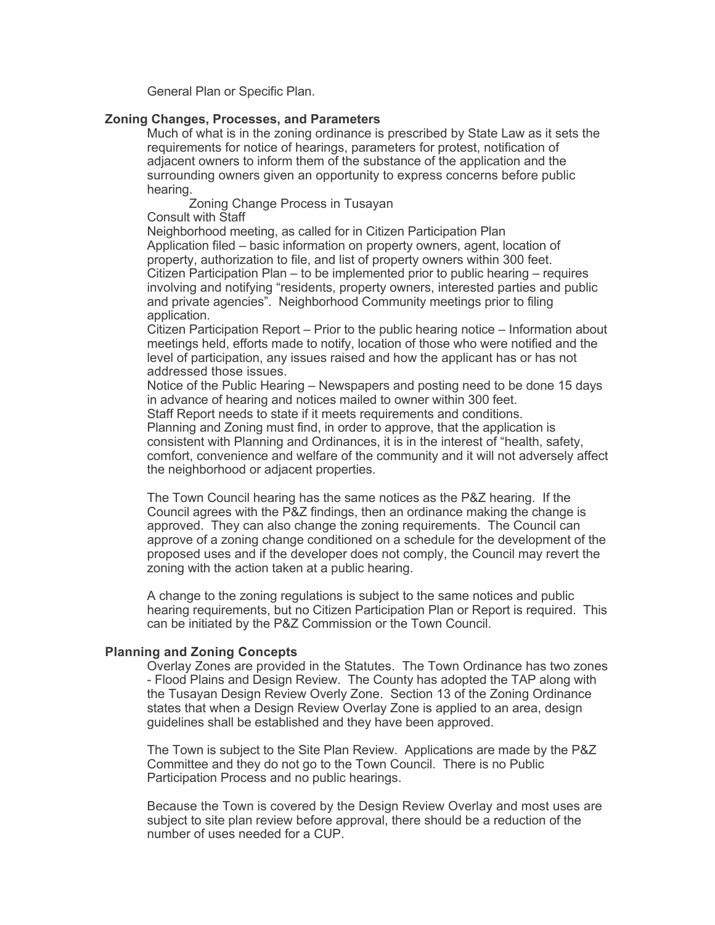General Plan or Specific Plan.

#### **Zoning Changes, Processes, and Parameters**

Much of what is in the zoning ordinance is prescribed by State Law as it sets the requirements for notice of hearings, parameters for protest, notification of adjacent owners to inform them of the substance of the application and the surrounding owners given an opportunity to express concerns before public hearing.

Zoning Change Process in Tusayan Consult with Staff

Neighborhood meeting, as called for in Citizen Participation Plan Application filed – basic information on property owners, agent, location of property, authorization to file, and list of property owners within 300 feet. Citizen Participation Plan – to be implemented prior to public hearing – requires involving and notifying "residents, property owners, interested parties and public and private agencies". Neighborhood Community meetings prior to filing application.

Citizen Participation Report – Prior to the public hearing notice – Information about meetings held, efforts made to notify, location of those who were notified and the level of participation, any issues raised and how the applicant has or has not addressed those issues.

Notice of the Public Hearing – Newspapers and posting need to be done 15 days in advance of hearing and notices mailed to owner within 300 feet.

Staff Report needs to state if it meets requirements and conditions. Planning and Zoning must find, in order to approve, that the application is consistent with Planning and Ordinances, it is in the interest of "health, safety, comfort, convenience and welfare of the community and it will not adversely affect the neighborhood or adjacent properties.

The Town Council hearing has the same notices as the P&Z hearing. If the Council agrees with the P&Z findings, then an ordinance making the change is approved. They can also change the zoning requirements. The Council can approve of a zoning change conditioned on a schedule for the development of the proposed uses and if the developer does not comply, the Council may revert the zoning with the action taken at a public hearing.

A change to the zoning regulations is subject to the same notices and public hearing requirements, but no Citizen Participation Plan or Report is required. This can be initiated by the P&Z Commission or the Town Council.

#### **Planning and Zoning Concepts**

Overlay Zones are provided in the Statutes. The Town Ordinance has two zones - Flood Plains and Design Review. The County has adopted the TAP along with the Tusayan Design Review Overly Zone. Section 13 of the Zoning Ordinance states that when a Design Review Overlay Zone is applied to an area, design guidelines shall be established and they have been approved.

The Town is subject to the Site Plan Review. Applications are made by the P&Z Committee and they do not go to the Town Council. There is no Public Participation Process and no public hearings.

Because the Town is covered by the Design Review Overlay and most uses are subject to site plan review before approval, there should be a reduction of the number of uses needed for a CUP.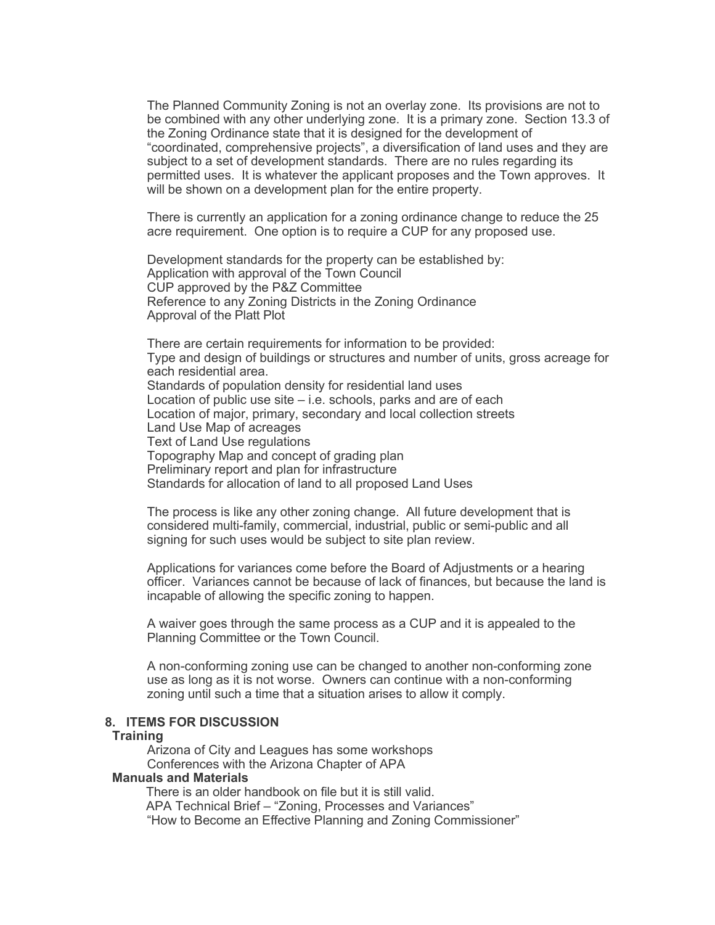The Planned Community Zoning is not an overlay zone. Its provisions are not to be combined with any other underlying zone. It is a primary zone. Section 13.3 of the Zoning Ordinance state that it is designed for the development of "coordinated, comprehensive projects", a diversification of land uses and they are subject to a set of development standards. There are no rules regarding its permitted uses. It is whatever the applicant proposes and the Town approves. It will be shown on a development plan for the entire property.

There is currently an application for a zoning ordinance change to reduce the 25 acre requirement. One option is to require a CUP for any proposed use.

Development standards for the property can be established by: Application with approval of the Town Council CUP approved by the P&Z Committee Reference to any Zoning Districts in the Zoning Ordinance Approval of the Platt Plot

There are certain requirements for information to be provided: Type and design of buildings or structures and number of units, gross acreage for each residential area. Standards of population density for residential land uses Location of public use site – i.e. schools, parks and are of each Location of major, primary, secondary and local collection streets Land Use Map of acreages Text of Land Use regulations Topography Map and concept of grading plan Preliminary report and plan for infrastructure Standards for allocation of land to all proposed Land Uses

The process is like any other zoning change. All future development that is considered multi-family, commercial, industrial, public or semi-public and all signing for such uses would be subject to site plan review.

Applications for variances come before the Board of Adjustments or a hearing officer. Variances cannot be because of lack of finances, but because the land is incapable of allowing the specific zoning to happen.

A waiver goes through the same process as a CUP and it is appealed to the Planning Committee or the Town Council.

A non-conforming zoning use can be changed to another non-conforming zone use as long as it is not worse. Owners can continue with a non-conforming zoning until such a time that a situation arises to allow it comply.

#### **8. ITEMS FOR DISCUSSION**

#### **Training**

Arizona of City and Leagues has some workshops Conferences with the Arizona Chapter of APA

#### **Manuals and Materials**

There is an older handbook on file but it is still valid. APA Technical Brief – "Zoning, Processes and Variances" "How to Become an Effective Planning and Zoning Commissioner"